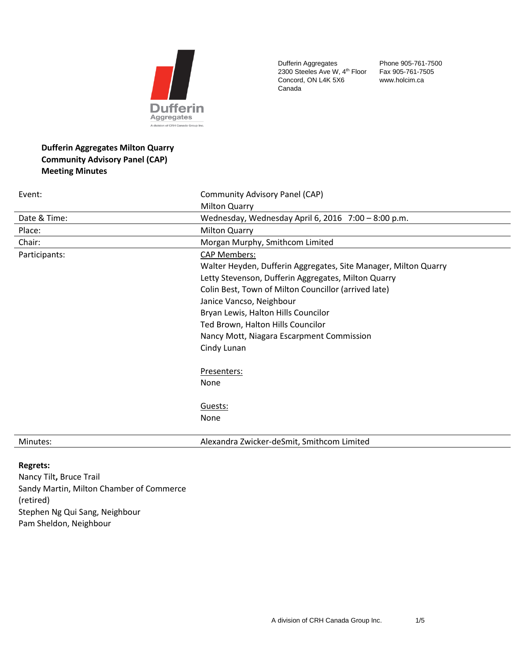

Dufferin Aggregates 2300 Steeles Ave W, 4<sup>th</sup> Floor Concord, ON L4K 5X6 Canada

Phone 905-761-7500 Fax 905-761-7505 www.holcim.ca

# **Dufferin Aggregates Milton Quarry Community Advisory Panel (CAP) Meeting Minutes**

| Event:        | Community Advisory Panel (CAP)                                  |
|---------------|-----------------------------------------------------------------|
|               | <b>Milton Quarry</b>                                            |
| Date & Time:  | Wednesday, Wednesday April 6, 2016 7:00 - 8:00 p.m.             |
| Place:        | <b>Milton Quarry</b>                                            |
| Chair:        | Morgan Murphy, Smithcom Limited                                 |
| Participants: | <b>CAP Members:</b>                                             |
|               | Walter Heyden, Dufferin Aggregates, Site Manager, Milton Quarry |
|               | Letty Stevenson, Dufferin Aggregates, Milton Quarry             |
|               | Colin Best, Town of Milton Councillor (arrived late)            |
|               | Janice Vancso, Neighbour                                        |
|               | Bryan Lewis, Halton Hills Councilor                             |
|               | Ted Brown, Halton Hills Councilor                               |
|               | Nancy Mott, Niagara Escarpment Commission                       |
|               | Cindy Lunan                                                     |
|               | Presenters:                                                     |
|               | None                                                            |
|               | Guests:                                                         |
|               | None                                                            |
| Minutes:      | Alexandra Zwicker-deSmit, Smithcom Limited                      |

# **Regrets:**

Nancy Tilt**,** Bruce Trail Sandy Martin, Milton Chamber of Commerce (retired) Stephen Ng Qui Sang, Neighbour Pam Sheldon, Neighbour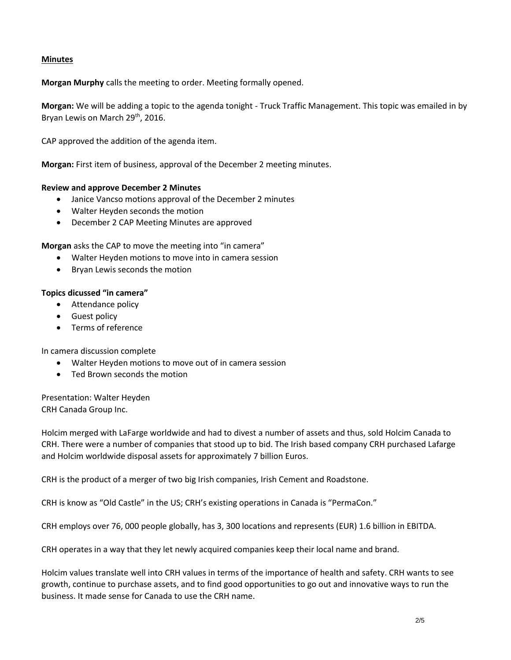# **Minutes**

**Morgan Murphy** calls the meeting to order. Meeting formally opened.

**Morgan:** We will be adding a topic to the agenda tonight - Truck Traffic Management. This topic was emailed in by Bryan Lewis on March 29<sup>th</sup>, 2016.

CAP approved the addition of the agenda item.

**Morgan:** First item of business, approval of the December 2 meeting minutes.

## **Review and approve December 2 Minutes**

- Janice Vancso motions approval of the December 2 minutes
- Walter Heyden seconds the motion
- December 2 CAP Meeting Minutes are approved

**Morgan** asks the CAP to move the meeting into "in camera"

- Walter Heyden motions to move into in camera session
- Bryan Lewis seconds the motion

## **Topics dicussed "in camera"**

- Attendance policy
- Guest policy
- Terms of reference

In camera discussion complete

- Walter Heyden motions to move out of in camera session
- Ted Brown seconds the motion

Presentation: Walter Heyden CRH Canada Group Inc.

Holcim merged with LaFarge worldwide and had to divest a number of assets and thus, sold Holcim Canada to CRH. There were a number of companies that stood up to bid. The Irish based company CRH purchased Lafarge and Holcim worldwide disposal assets for approximately 7 billion Euros.

CRH is the product of a merger of two big Irish companies, Irish Cement and Roadstone.

CRH is know as "Old Castle" in the US; CRH's existing operations in Canada is "PermaCon."

CRH employs over 76, 000 people globally, has 3, 300 locations and represents (EUR) 1.6 billion in EBITDA.

CRH operates in a way that they let newly acquired companies keep their local name and brand.

Holcim values translate well into CRH values in terms of the importance of health and safety. CRH wants to see growth, continue to purchase assets, and to find good opportunities to go out and innovative ways to run the business. It made sense for Canada to use the CRH name.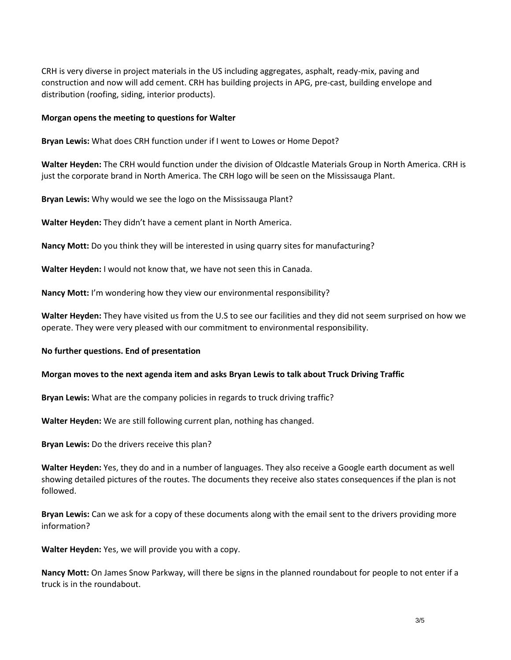CRH is very diverse in project materials in the US including aggregates, asphalt, ready-mix, paving and construction and now will add cement. CRH has building projects in APG, pre-cast, building envelope and distribution (roofing, siding, interior products).

#### **Morgan opens the meeting to questions for Walter**

**Bryan Lewis:** What does CRH function under if I went to Lowes or Home Depot?

**Walter Heyden:** The CRH would function under the division of Oldcastle Materials Group in North America. CRH is just the corporate brand in North America. The CRH logo will be seen on the Mississauga Plant.

**Bryan Lewis:** Why would we see the logo on the Mississauga Plant?

**Walter Heyden:** They didn't have a cement plant in North America.

**Nancy Mott:** Do you think they will be interested in using quarry sites for manufacturing?

**Walter Heyden:** I would not know that, we have not seen this in Canada.

**Nancy Mott:** I'm wondering how they view our environmental responsibility?

**Walter Heyden:** They have visited us from the U.S to see our facilities and they did not seem surprised on how we operate. They were very pleased with our commitment to environmental responsibility.

#### **No further questions. End of presentation**

#### **Morgan moves to the next agenda item and asks Bryan Lewis to talk about Truck Driving Traffic**

**Bryan Lewis:** What are the company policies in regards to truck driving traffic?

**Walter Heyden:** We are still following current plan, nothing has changed.

**Bryan Lewis:** Do the drivers receive this plan?

**Walter Heyden:** Yes, they do and in a number of languages. They also receive a Google earth document as well showing detailed pictures of the routes. The documents they receive also states consequences if the plan is not followed.

**Bryan Lewis:** Can we ask for a copy of these documents along with the email sent to the drivers providing more information?

**Walter Heyden:** Yes, we will provide you with a copy.

**Nancy Mott:** On James Snow Parkway, will there be signs in the planned roundabout for people to not enter if a truck is in the roundabout.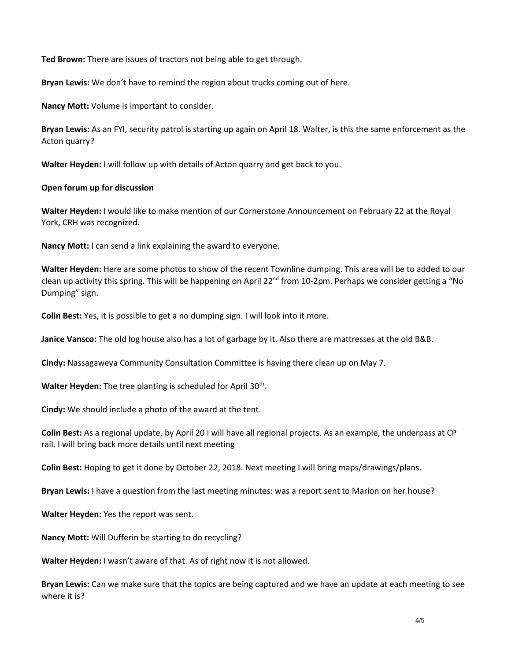**Ted Brown:** There are issues of tractors not being able to get through.

**Bryan Lewis:** We don't have to remind the region about trucks coming out of here.

**Nancy Mott:** Volume is important to consider.

**Bryan Lewis:** As an FYI, security patrol is starting up again on April 18. Walter, is this the same enforcement as the Acton quarry?

**Walter Heyden:** I will follow up with details of Acton quarry and get back to you.

# **Open forum up for discussion**

**Walter Heyden:** I would like to make mention of our Cornerstone Announcement on February 22 at the Royal York, CRH was recognized.

**Nancy Mott:** I can send a link explaining the award to everyone.

**Walter Heyden:** Here are some photos to show of the recent Townline dumping. This area will be to added to our clean up activity this spring. This will be happening on April 22<sup>nd</sup> from 10-2pm. Perhaps we consider getting a "No Dumping" sign.

**Colin Best:** Yes, it is possible to get a no dumping sign. I will look into it more.

**Janice Vansco:** The old log house also has a lot of garbage by it. Also there are mattresses at the old B&B.

**Cindy:** Nassagaweya Community Consultation Committee is having there clean up on May 7.

Walter Heyden: The tree planting is scheduled for April 30<sup>th</sup>.

**Cindy:** We should include a photo of the award at the tent.

**Colin Best:** As a regional update, by April 20 I will have all regional projects. As an example, the underpass at CP rail. I will bring back more details until next meeting

**Colin Best:** Hoping to get it done by October 22, 2018. Next meeting I will bring maps/drawings/plans.

**Bryan Lewis:** I have a question from the last meeting minutes: was a report sent to Marion on her house?

**Walter Heyden:** Yes the report was sent.

**Nancy Mott:** Will Dufferin be starting to do recycling?

**Walter Heyden:** I wasn't aware of that. As of right now it is not allowed.

**Bryan Lewis:** Can we make sure that the topics are being captured and we have an update at each meeting to see where it is?